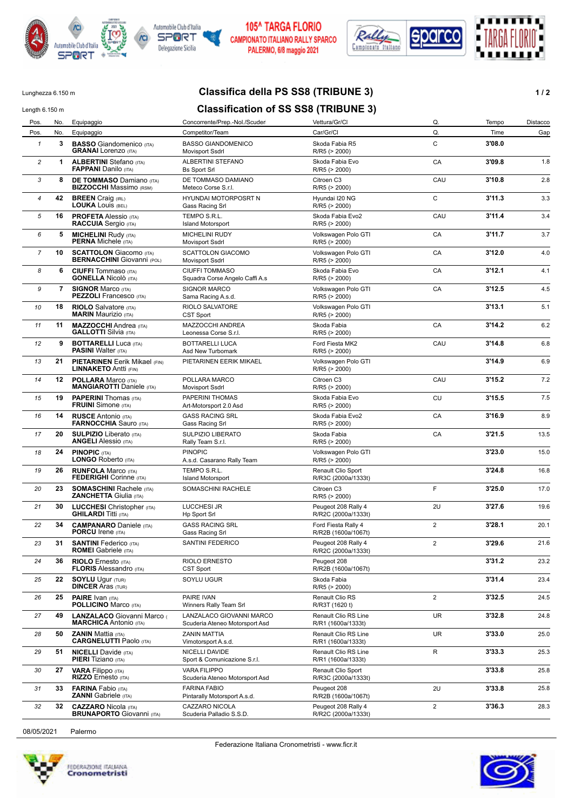



#### **105^ TARGA FLORIO** CAMPIONATO ITALIANO RALLY SPARCO PALERMO, 6/8 maggio 2021



### Lunghezza 6.150 m **Classifica della PS SS8 (TRIBUNE 3) 1/2**

## Length 6.150 m<br>**Classification of SS SS8 (TRIBUNE 3)**

| Pos.           | No.            | Equipaggio                                                           | Concorrente/Prep.-Nol./Scuder                              | Vettura/Gr/Cl                              | Q.             | Tempo  | Distacco |
|----------------|----------------|----------------------------------------------------------------------|------------------------------------------------------------|--------------------------------------------|----------------|--------|----------|
| Pos.           | No.            | Equipaggio                                                           | Competitor/Team                                            | Car/Gr/Cl                                  | Q.             | Time   | Gap      |
| $\mathbf{1}$   | 3              | <b>BASSO</b> Giandomenico (ITA)<br><b>GRANAI</b> Lorenzo (ITA)       | <b>BASSO GIANDOMENICO</b><br>Movisport Ssdrl               | Skoda Fabia R5<br>R/R5 (> 2000)            | C              | 3'08.0 |          |
| $\overline{c}$ | 1              | <b>ALBERTINI</b> Stefano (ITA)<br><b>FAPPANI</b> Danilo (ITA)        | ALBERTINI STEFANO<br><b>Bs Sport Srl</b>                   | Skoda Fabia Evo<br>R/R5 (> 2000)           | CA             | 3'09.8 | 1.8      |
| 3              | 8              | <b>DE TOMMASO Damiano (ITA)</b><br><b>BIZZOCCHI</b> Massimo (RSM)    | DE TOMMASO DAMIANO<br>Meteco Corse S.r.l.                  | Citroen C3<br>R/R5 (> 2000)                | CAU            | 3'10.8 | 2.8      |
| 4              | 42             | <b>BREEN</b> Craig (IRL)<br><b>LOUKA LOUIS (BEL)</b>                 | <b>HYUNDAI MOTORPOSRT N</b><br>Gass Racing Srl             | Hyundai I20 NG<br>R/R5 (> 2000)            | C              | 3'11.3 | 3.3      |
| 5              | 16             | <b>PROFETA Alessio (ITA)</b><br><b>RACCUIA</b> Sergio (ITA)          | TEMPO S.R.L.<br><b>Island Motorsport</b>                   | Skoda Fabia Evo2<br>R/R5 (> 2000)          | CAU            | 3'11.4 | 3.4      |
| 6              | 5              | <b>MICHELINI Rudy (ITA)</b><br><b>PERNA Michele (ITA)</b>            | <b>MICHELINI RUDY</b><br><b>Movisport Ssdrl</b>            | Volkswagen Polo GTI<br>R/R5 (> 2000)       | CA             | 3'11.7 | 3.7      |
| 7              | 10             | <b>SCATTOLON</b> Giacomo (ITA)<br><b>BERNACCHINI</b> Giovanni (POL)  | <b>SCATTOLON GIACOMO</b><br>Movisport Ssdrl                | Volkswagen Polo GTI<br>R/R5 (> 2000)       | CA             | 3'12.0 | 4.0      |
| 8              | 6              | <b>CIUFFI</b> Tommaso (ITA)<br><b>GONELLA Nicolò</b> (ITA)           | <b>CIUFFI TOMMASO</b><br>Squadra Corse Angelo Caffi A.s    | Skoda Fabia Evo<br>R/R5 (> 2000)           | CA             | 3'12.1 | 4.1      |
| 9              | $\overline{7}$ | <b>SIGNOR Marco (ITA)</b><br><b>PEZZOLI</b> Francesco (ITA)          | SIGNOR MARCO<br>Sama Racing A.s.d.                         | Volkswagen Polo GTI<br>R/R5 (> 2000)       | CA             | 3'12.5 | 4.5      |
| 10             | 18             | <b>RIOLO</b> Salvatore (ITA)<br><b>MARIN</b> Maurizio (ITA)          | RIOLO SALVATORE<br><b>CST Sport</b>                        | Volkswagen Polo GTI<br>R/R5 (> 2000)       |                | 3'13.1 | 5.1      |
| 11             | 11             | <b>MAZZOCCHI</b> Andrea (ITA)<br><b>GALLOTTI</b> Silvia (ITA)        | MAZZOCCHI ANDREA<br>Leonessa Corse S.r.l.                  | Skoda Fabia<br>R/R5 (> 2000)               | CA             | 3'14.2 | 6.2      |
| 12             | 9              | <b>BOTTARELLI Luca (ITA)</b><br><b>PASINI</b> Walter (ITA)           | <b>BOTTARELLI LUCA</b><br>Asd New Turbomark                | Ford Fiesta MK2<br>R/R5 (> 2000)           | CAU            | 3'14.8 | 6.8      |
| 13             | 21             | <b>PIETARINEN</b> Eerik Mikael (FIN)<br><b>LINNAKETO Antti (FIN)</b> | PIETARINEN EERIK MIKAEL                                    | Volkswagen Polo GTI<br>R/R5 (> 2000)       |                | 3'14.9 | 6.9      |
| 14             | 12             | <b>POLLARA</b> Marco (ITA)<br><b>MANGIAROTTI Daniele (ITA)</b>       | POLLARA MARCO<br><b>Movisport Ssdrl</b>                    | Citroen C3<br>R/R5 (> 2000)                | CAU            | 3'15.2 | 7.2      |
| 15             | 19             | <b>PAPERINI</b> Thomas (ITA)<br><b>FRUINI</b> Simone (ITA)           | PAPERINI THOMAS<br>Art-Motorsport 2.0 Asd                  | Skoda Fabia Evo<br>R/R5 (> 2000)           | CU             | 3'15.5 | 7.5      |
| 16             | 14             | <b>RUSCE Antonio (ITA)</b><br><b>FARNOCCHIA</b> Sauro (ITA)          | <b>GASS RACING SRL</b><br>Gass Racing Srl                  | Skoda Fabia Evo2<br>R/R5 (> 2000)          | CA             | 3'16.9 | 8.9      |
| 17             | 20             | <b>SULPIZIO</b> Liberato (ITA)<br><b>ANGELI Alessio (ITA)</b>        | <b>SULPIZIO LIBERATO</b><br>Rally Team S.r.l.              | Skoda Fabia<br>R/R5 (> 2000)               | CA             | 3'21.5 | 13.5     |
| 18             | 24             | <b>PINOPIC (ITA)</b><br>LONGO Roberto (ITA)                          | <b>PINOPIC</b><br>A.s.d. Casarano Rally Team               | Volkswagen Polo GTI<br>R/R5 (> 2000)       |                | 3'23.0 | 15.0     |
| 19             | 26             | <b>RUNFOLA Marco (ITA)</b><br><b>FEDERIGHI</b> Corinne (ITA)         | TEMPO S.R.L.<br><b>Island Motorsport</b>                   | Renault Clio Sport<br>R/R3C (2000a/1333t)  |                | 3'24.8 | 16.8     |
| 20             | 23             | <b>SOMASCHINI Rachele (ITA)</b><br><b>ZANCHETTA Giulia (ITA)</b>     | SOMASCHINI RACHELE                                         | Citroen C3<br>R/R5 (> 2000)                | F              | 3'25.0 | 17.0     |
| 21             | 30             | <b>LUCCHESI</b> Christopher (ITA)<br><b>GHILARDI Titti (ITA)</b>     | LUCCHESI JR<br><b>Hp Sport Srl</b>                         | Peugeot 208 Rally 4<br>R/R2C (2000a/1333t) | 2U             | 3'27.6 | 19.6     |
| 22             | 34             | <b>CAMPANARO</b> Daniele (ITA)<br><b>PORCU</b> Irene (ITA)           | <b>GASS RACING SRL</b><br>Gass Racing Srl                  | Ford Fiesta Rally 4<br>R/R2B (1600a/1067t) | $\overline{2}$ | 3'28.1 | 20.1     |
| 23             | 31             | <b>SANTINI</b> Federico (ITA)<br><b>ROMEI</b> Gabriele (ITA)         | <b>SANTINI FEDERICO</b>                                    | Peugeot 208 Rally 4<br>R/R2C (2000a/1333t) | $\overline{2}$ | 3'29.6 | 21.6     |
| 24             | 36             | <b>RIOLO</b> Ernesto (ITA)<br><b>FLORIS Alessandro (ITA)</b>         | RIOLO ERNESTO<br>CST Sport                                 | Peugeot 208<br>R/R2B (1600a/1067t)         |                | 3'31.2 | 23.2     |
| 25             | 22             | <b>SOYLU Ugur (TUR)</b><br><b>DINCER Aras (TUR)</b>                  | SOYLU UGUR                                                 | Skoda Fabia<br>R/R5 (> 2000)               |                | 3'31.4 | 23.4     |
| 26             | 25             | <b>PAIRE</b> Ivan (ITA)<br><b>POLLICINO Marco (ITA)</b>              | PAIRE IVAN<br>Winners Rally Team Srl                       | Renault Clio RS<br>R/R3T (1620 t)          | $\overline{2}$ | 3'32.5 | 24.5     |
| 27             | 49             | LANZALACO Giovanni Marco<br><b>MARCHICA</b> Antonio (ITA)            | LANZALACO GIOVANNI MARCO<br>Scuderia Ateneo Motorsport Asd | Renault Clio RS Line<br>R/R1 (1600a/1333t) | UR             | 3'32.8 | 24.8     |
| 28             | 50             | <b>ZANIN Mattia (ITA)</b><br><b>CARGNELUTTI Paolo (ITA)</b>          | ZANIN MATTIA<br>Vimotorsport A.s.d.                        | Renault Clio RS Line<br>R/R1 (1600a/1333t) | UR             | 3'33.0 | 25.0     |
| 29             | 51             | <b>NICELLI</b> Davide (ITA)<br><b>PIERI</b> Tiziano (ITA)            | NICELLI DAVIDE<br>Sport & Comunicazione S.r.l.             | Renault Clio RS Line<br>R/R1 (1600a/1333t) | R              | 3'33.3 | 25.3     |
| 30             | 27             | <b>VARA Filippo</b> (ITA)<br>RIZZO Ernesto (ITA)                     | <b>VARA FILIPPO</b><br>Scuderia Ateneo Motorsport Asd      | Renault Clio Sport<br>R/R3C (2000a/1333t)  |                | 3'33.8 | 25.8     |
| 31             | 33             | <b>FARINA</b> Fabio (ITA)<br><b>ZANNI</b> Gabriele (ITA)             | <b>FARINA FABIO</b><br>Pintarally Motorsport A.s.d.        | Peugeot 208<br>R/R2B (1600a/1067t)         | 2U             | 3'33.8 | 25.8     |
| 32             | 32             | <b>CAZZARO</b> Nicola (ITA)<br><b>BRUNAPORTO</b> Giovanni (ITA)      | CAZZARO NICOLA<br>Scuderia Palladio S.S.D.                 | Peugeot 208 Rally 4<br>R/R2C (2000a/1333t) | 2              | 3'36.3 | 28.3     |
|                |                |                                                                      |                                                            |                                            |                |        |          |

08/05/2021 Palermo